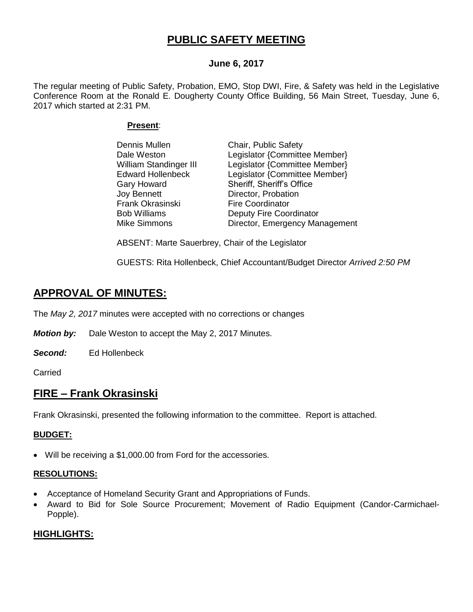# **PUBLIC SAFETY MEETING**

# **June 6, 2017**

The regular meeting of Public Safety, Probation, EMO, Stop DWI, Fire, & Safety was held in the Legislative Conference Room at the Ronald E. Dougherty County Office Building, 56 Main Street, Tuesday, June 6, 2017 which started at 2:31 PM.

## **Present**:

| Dennis Mullen            | Chair, Public Safety           |
|--------------------------|--------------------------------|
| Dale Weston              | Legislator {Committee Member}  |
| William Standinger III   | Legislator {Committee Member}  |
| <b>Edward Hollenbeck</b> | Legislator {Committee Member}  |
| Gary Howard              | Sheriff, Sheriff's Office      |
| Joy Bennett              | Director, Probation            |
| Frank Okrasinski         | <b>Fire Coordinator</b>        |
| <b>Bob Williams</b>      | Deputy Fire Coordinator        |
| Mike Simmons             | Director, Emergency Management |

ABSENT: Marte Sauerbrey, Chair of the Legislator

GUESTS: Rita Hollenbeck, Chief Accountant/Budget Director *Arrived 2:50 PM*

# **APPROVAL OF MINUTES:**

The *May 2, 2017* minutes were accepted with no corrections or changes

*Motion by:* Dale Weston to accept the May 2, 2017 Minutes.

*Second:* Ed Hollenbeck

Carried

# **FIRE – Frank Okrasinski**

Frank Okrasinski, presented the following information to the committee. Report is attached.

## **BUDGET:**

Will be receiving a \$1,000.00 from Ford for the accessories.

## **RESOLUTIONS:**

- Acceptance of Homeland Security Grant and Appropriations of Funds.
- Award to Bid for Sole Source Procurement; Movement of Radio Equipment (Candor-Carmichael-Popple).

# **HIGHLIGHTS:**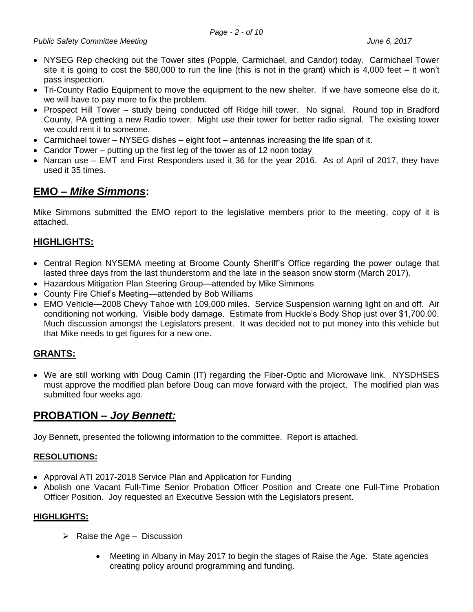- NYSEG Rep checking out the Tower sites (Popple, Carmichael, and Candor) today. Carmichael Tower site it is going to cost the \$80,000 to run the line (this is not in the grant) which is 4,000 feet – it won't pass inspection.
- Tri-County Radio Equipment to move the equipment to the new shelter. If we have someone else do it, we will have to pay more to fix the problem.
- Prospect Hill Tower study being conducted off Ridge hill tower. No signal. Round top in Bradford County, PA getting a new Radio tower. Might use their tower for better radio signal. The existing tower we could rent it to someone.
- Carmichael tower NYSEG dishes eight foot antennas increasing the life span of it.
- Candor Tower putting up the first leg of the tower as of 12 noon today
- Narcan use EMT and First Responders used it 36 for the year 2016. As of April of 2017, they have used it 35 times.

# **EMO –** *Mike Simmons***:**

Mike Simmons submitted the EMO report to the legislative members prior to the meeting, copy of it is attached.

# **HIGHLIGHTS:**

- Central Region NYSEMA meeting at Broome County Sheriff's Office regarding the power outage that lasted three days from the last thunderstorm and the late in the season snow storm (March 2017).
- Hazardous Mitigation Plan Steering Group—attended by Mike Simmons
- County Fire Chief's Meeting—attended by Bob Williams
- EMO Vehicle—2008 Chevy Tahoe with 109,000 miles. Service Suspension warning light on and off. Air conditioning not working. Visible body damage. Estimate from Huckle's Body Shop just over \$1,700.00. Much discussion amongst the Legislators present. It was decided not to put money into this vehicle but that Mike needs to get figures for a new one.

# **GRANTS:**

 We are still working with Doug Camin (IT) regarding the Fiber-Optic and Microwave link. NYSDHSES must approve the modified plan before Doug can move forward with the project. The modified plan was submitted four weeks ago.

# **PROBATION –** *Joy Bennett:*

Joy Bennett, presented the following information to the committee. Report is attached.

# **RESOLUTIONS:**

- Approval ATI 2017-2018 Service Plan and Application for Funding
- Abolish one Vacant Full-Time Senior Probation Officer Position and Create one Full-Time Probation Officer Position. Joy requested an Executive Session with the Legislators present.

## **HIGHLIGHTS:**

- $\triangleright$  Raise the Age Discussion
	- Meeting in Albany in May 2017 to begin the stages of Raise the Age. State agencies creating policy around programming and funding.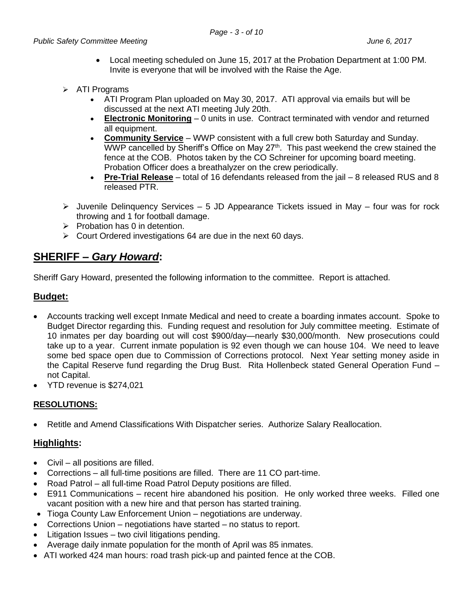- Local meeting scheduled on June 15, 2017 at the Probation Department at 1:00 PM. Invite is everyone that will be involved with the Raise the Age.
- $\triangleright$  ATI Programs
	- ATI Program Plan uploaded on May 30, 2017. ATI approval via emails but will be discussed at the next ATI meeting July 20th.
	- **Electronic Monitoring** 0 units in use. Contract terminated with vendor and returned all equipment.
	- **Community Service** WWP consistent with a full crew both Saturday and Sunday. WWP cancelled by Sheriff's Office on May 27<sup>th</sup>. This past weekend the crew stained the fence at the COB. Photos taken by the CO Schreiner for upcoming board meeting. Probation Officer does a breathalyzer on the crew periodically.
	- **Pre-Trial Release** total of 16 defendants released from the jail 8 released RUS and 8 released PTR.
- $\triangleright$  Juvenile Delinquency Services 5 JD Appearance Tickets issued in May four was for rock throwing and 1 for football damage.
- $\triangleright$  Probation has 0 in detention.
- $\triangleright$  Court Ordered investigations 64 are due in the next 60 days.

# **SHERIFF –** *Gary Howard***:**

Sheriff Gary Howard, presented the following information to the committee. Report is attached.

# **Budget:**

- Accounts tracking well except Inmate Medical and need to create a boarding inmates account. Spoke to Budget Director regarding this. Funding request and resolution for July committee meeting. Estimate of 10 inmates per day boarding out will cost \$900/day—nearly \$30,000/month. New prosecutions could take up to a year. Current inmate population is 92 even though we can house 104. We need to leave some bed space open due to Commission of Corrections protocol. Next Year setting money aside in the Capital Reserve fund regarding the Drug Bust. Rita Hollenbeck stated General Operation Fund – not Capital.
- YTD revenue is \$274,021

# **RESOLUTIONS:**

Retitle and Amend Classifications With Dispatcher series. Authorize Salary Reallocation.

# **Highlights:**

- Civil all positions are filled.
- Corrections all full-time positions are filled. There are 11 CO part-time.
- Road Patrol all full-time Road Patrol Deputy positions are filled.
- E911 Communications recent hire abandoned his position. He only worked three weeks. Filled one vacant position with a new hire and that person has started training.
- Tioga County Law Enforcement Union negotiations are underway.
- Corrections Union negotiations have started no status to report.
- Litigation Issues two civil litigations pending.
- Average daily inmate population for the month of April was 85 inmates.
- ATI worked 424 man hours: road trash pick-up and painted fence at the COB.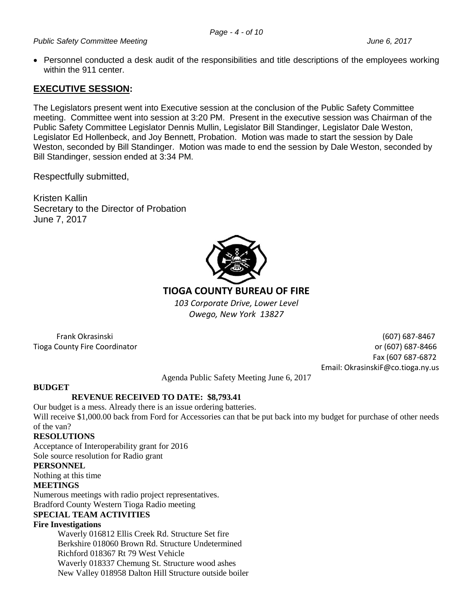## *Public Safety Committee Meeting June 6, 2017*

 Personnel conducted a desk audit of the responsibilities and title descriptions of the employees working within the 911 center.

# **EXECUTIVE SESSION:**

The Legislators present went into Executive session at the conclusion of the Public Safety Committee meeting. Committee went into session at 3:20 PM. Present in the executive session was Chairman of the Public Safety Committee Legislator Dennis Mullin, Legislator Bill Standinger, Legislator Dale Weston, Legislator Ed Hollenbeck, and Joy Bennett, Probation. Motion was made to start the session by Dale Weston, seconded by Bill Standinger. Motion was made to end the session by Dale Weston, seconded by Bill Standinger, session ended at 3:34 PM.

Respectfully submitted,

Kristen Kallin Secretary to the Director of Probation June 7, 2017



# **TIOGA COUNTY BUREAU OF FIRE**

*103 Corporate Drive, Lower Level Owego, New York 13827*

 Frank Okrasinski (607) 687-8467 Tioga County Fire Coordinator or (607) 687-8466 Fax (607 687-6872 Email: OkrasinskiF@co.tioga.ny.us

Agenda Public Safety Meeting June 6, 2017

## **BUDGET**

# **REVENUE RECEIVED TO DATE: \$8,793.41**

Our budget is a mess. Already there is an issue ordering batteries. Will receive \$1,000.00 back from Ford for Accessories can that be put back into my budget for purchase of other needs of the van?

## **RESOLUTIONS**

Acceptance of Interoperability grant for 2016 Sole source resolution for Radio grant

## **PERSONNEL**

Nothing at this time

## **MEETINGS**

Numerous meetings with radio project representatives. Bradford County Western Tioga Radio meeting

# **SPECIAL TEAM ACTIVITIES**

## **Fire Investigations**

Waverly 016812 Ellis Creek Rd. Structure Set fire Berkshire 018060 Brown Rd. Structure Undetermined Richford 018367 Rt 79 West Vehicle Waverly 018337 Chemung St. Structure wood ashes New Valley 018958 Dalton Hill Structure outside boiler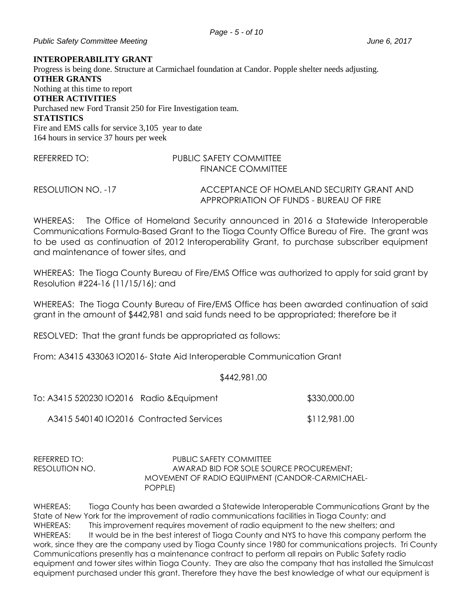## *Public Safety Committee Meeting June 6, 2017*

#### **INTEROPERABILITY GRANT**

Progress is being done. Structure at Carmichael foundation at Candor. Popple shelter needs adjusting. **OTHER GRANTS** Nothing at this time to report **OTHER ACTIVITIES** Purchased new Ford Transit 250 for Fire Investigation team. **STATISTICS** Fire and EMS calls for service 3,105 year to date 164 hours in service 37 hours per week

## REFERRED TO: PUBLIC SAFETY COMMITTEE FINANCE COMMITTEE

RESOLUTION NO. -17 ACCEPTANCE OF HOMELAND SECURITY GRANT AND APPROPRIATION OF FUNDS - BUREAU OF FIRE

WHEREAS: The Office of Homeland Security announced in 2016 a Statewide Interoperable Communications Formula-Based Grant to the Tioga County Office Bureau of Fire. The grant was to be used as continuation of 2012 Interoperability Grant, to purchase subscriber equipment and maintenance of tower sites, and

WHEREAS: The Tioga County Bureau of Fire/EMS Office was authorized to apply for said grant by Resolution #224-16 (11/15/16); and

WHEREAS: The Tioga County Bureau of Fire/EMS Office has been awarded continuation of said grant in the amount of \$442,981 and said funds need to be appropriated; therefore be it

RESOLVED: That the grant funds be appropriated as follows:

From: A3415 433063 IO2016- State Aid Interoperable Communication Grant

## \$442,981.00

| To: A3415 520230 IO2016 Radio & Equipment | \$330,000.00 |
|-------------------------------------------|--------------|
| A3415 540140 IO2016 Contracted Services   | \$112,981.00 |

REFERRED TO: PUBLIC SAFETY COMMITTEE RESOLUTION NO. AWARAD BID FOR SOLE SOURCE PROCUREMENT; MOVEMENT OF RADIO EQUIPMENT (CANDOR-CARMICHAEL-POPPLE)

WHEREAS: Tioga County has been awarded a Statewide Interoperable Communications Grant by the State of New York for the improvement of radio communications facilities in Tioga County; and WHEREAS: This improvement requires movement of radio equipment to the new shelters; and WHEREAS: It would be in the best interest of Tioga County and NYS to have this company perform the work, since they are the company used by Tioga County since 1980 for communications projects. Tri County Communications presently has a maintenance contract to perform all repairs on Public Safety radio equipment and tower sites within Tioga County. They are also the company that has installed the Simulcast equipment purchased under this grant. Therefore they have the best knowledge of what our equipment is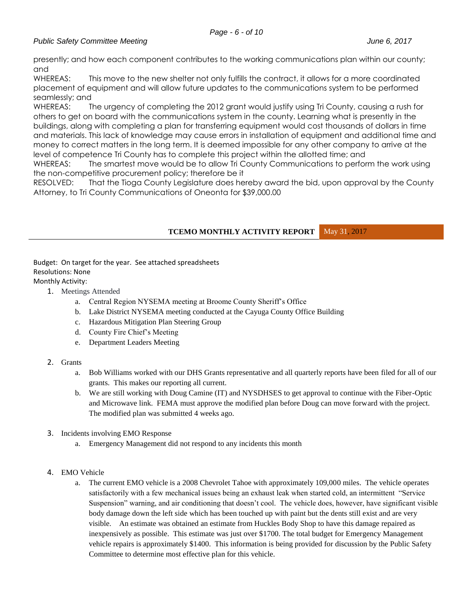## *Page - 6 - of 10*

## *Public Safety Committee Meeting June 6, 2017*

presently; and how each component contributes to the working communications plan within our county; and

WHEREAS: This move to the new shelter not only fulfills the contract, it allows for a more coordinated placement of equipment and will allow future updates to the communications system to be performed seamlessly; and

WHEREAS: The urgency of completing the 2012 grant would justify using Tri County, causing a rush for others to get on board with the communications system in the county. Learning what is presently in the buildings, along with completing a plan for transferring equipment would cost thousands of dollars in time and materials. This lack of knowledge may cause errors in installation of equipment and additional time and money to correct matters in the long term. It is deemed impossible for any other company to arrive at the level of competence Tri County has to complete this project within the allotted time; and

WHEREAS: The smartest move would be to allow Tri County Communications to perform the work using the non-competitive procurement policy; therefore be it

RESOLVED: That the Tioga County Legislature does hereby award the bid, upon approval by the County Attorney, to Tri County Communications of Oneonta for \$39,000.00

**TCEMO MONTHLY ACTIVITY REPORT** May 31, 2017

Budget: On target for the year. See attached spreadsheets Resolutions: None Monthly Activity:

1. Meetings Attended

- a. Central Region NYSEMA meeting at Broome County Sheriff's Office
- b. Lake District NYSEMA meeting conducted at the Cayuga County Office Building
- c. Hazardous Mitigation Plan Steering Group
- d. County Fire Chief's Meeting
- e. Department Leaders Meeting
- 2. Grants
	- a. Bob Williams worked with our DHS Grants representative and all quarterly reports have been filed for all of our grants. This makes our reporting all current.
	- b. We are still working with Doug Camine (IT) and NYSDHSES to get approval to continue with the Fiber-Optic and Microwave link. FEMA must approve the modified plan before Doug can move forward with the project. The modified plan was submitted 4 weeks ago.
- 3. Incidents involving EMO Response
	- a. Emergency Management did not respond to any incidents this month
- 4. EMO Vehicle
	- a. The current EMO vehicle is a 2008 Chevrolet Tahoe with approximately 109,000 miles. The vehicle operates satisfactorily with a few mechanical issues being an exhaust leak when started cold, an intermittent "Service Suspension" warning, and air conditioning that doesn't cool. The vehicle does, however, have significant visible body damage down the left side which has been touched up with paint but the dents still exist and are very visible. An estimate was obtained an estimate from Huckles Body Shop to have this damage repaired as inexpensively as possible. This estimate was just over \$1700. The total budget for Emergency Management vehicle repairs is approximately \$1400. This information is being provided for discussion by the Public Safety Committee to determine most effective plan for this vehicle.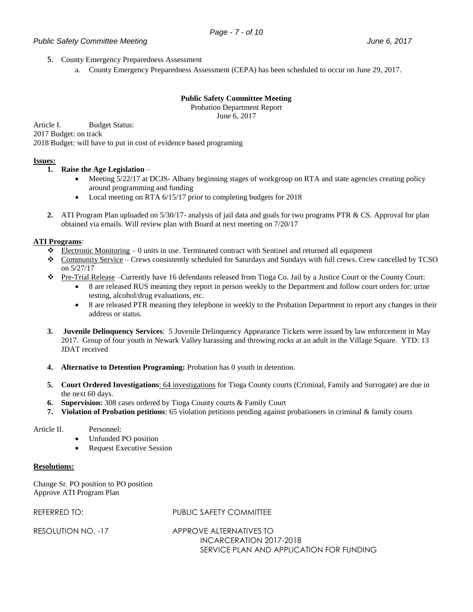## *Public Safety Committee Meeting June 6, 2017*

- 5. County Emergency Preparedness Assessment
	- a. County Emergency Preparedness Assessment (CEPA) has been scheduled to occur on June 29, 2017.

**Public Safety Committee Meeting** Probation Department Report

June 6, 2017

Article I. Budget Status: 2017 Budget: on track 2018 Budget: will have to put in cost of evidence based programing

### **Issues:**

### **1. Raise the Age Legislation** –

- Meeting 5/22/17 at DCJS- Albany beginning stages of workgroup on RTA and state agencies creating policy around programming and funding
- Local meeting on RTA 6/15/17 prior to completing budgets for 2018
- **2.** ATI Program Plan uploaded on 5/30/17- analysis of jail data and goals for two programs PTR & CS. Approval for plan obtained via emails. Will review plan with Board at next meeting on 7/20/17

### **ATI Programs**:

- $\bullet$  Electronic Monitoring 0 units in use. Terminated contract with Sentinel and returned all equipment
- Community Service Crews consistently scheduled for Saturdays and Sundays with full crews. Crew cancelled by TCSO on 5/27/17
- Pre-Trial Release –Currently have 16 defendants released from Tioga Co. Jail by a Justice Court or the County Court:
	- 8 are released RUS meaning they report in person weekly to the Department and follow court orders for: urine testing, alcohol/drug evaluations, etc.
	- 8 are released PTR meaning they telephone in weekly to the Probation Department to report any changes in their address or status.
- **3. Juvenile Delinquency Services**: 5 Juvenile Delinquency Appearance Tickets were issued by law enforcement in May 2017. Group of four youth in Newark Valley harassing and throwing rocks at an adult in the Village Square. YTD: 13 JDAT received
- **4. Alternative to Detention Programing:** Probation has 0 youth in detention.
- **5. Court Ordered Investigations**: 64 investigations for Tioga County courts (Criminal, Family and Surrogate) are due in the next 60 days.
- **6. Supervision:** 308 cases ordered by Tioga County courts & Family Court
- **7. Violation of Probation petitions**: 65 violation petitions pending against probationers in criminal & family courts

#### Article II. Personnel:

- Unfunded PO position
- Request Executive Session

#### **Resolutions:**

Change Sr. PO position to PO position Approve ATI Program Plan

## REFERRED TO: PUBLIC SAFETY COMMITTEE

RESOLUTION NO. -17 APPROVE ALTERNATIVES TO INCARCERATION 2017-2018 SERVICE PLAN AND APPLICATION FOR FUNDING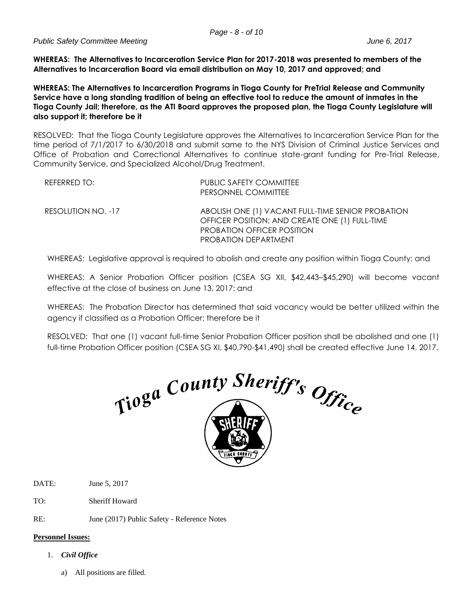**WHEREAS: The Alternatives to Incarceration Service Plan for 2017-2018 was presented to members of the Alternatives to Incarceration Board via email distribution on May 10, 2017 and approved; and**

**WHEREAS: The Alternatives to Incarceration Programs in Tioga County for PreTrial Release and Community Service have a long standing tradition of being an effective tool to reduce the amount of inmates in the Tioga County Jail; therefore, as the ATI Board approves the proposed plan, the Tioga County Legislature will also support it; therefore be it**

RESOLVED: That the Tioga County Legislature approves the Alternatives to Incarceration Service Plan for the time period of 7/1/2017 to 6/30/2018 and submit same to the NYS Division of Criminal Justice Services and Office of Probation and Correctional Alternatives to continue state-grant funding for Pre-Trial Release, Community Service, and Specialized Alcohol/Drug Treatment.

| REFERRED TO:       | PUBLIC SAFETY COMMITTEE<br>PERSONNEL COMMITTEE                                                                                                                   |
|--------------------|------------------------------------------------------------------------------------------------------------------------------------------------------------------|
| RESOLUTION NO. -17 | ABOLISH ONE (1) VACANT FULL-TIME SENIOR PROBATION<br>OFFICER POSITION; AND CREATE ONE (1) FULL-TIME<br><b>PROBATION OFFICER POSITION</b><br>PROBATION DEPARTMENT |

WHEREAS: Legislative approval is required to abolish and create any position within Tioga County; and

WHEREAS: A Senior Probation Officer position (CSEA SG XII, \$42,443–\$45,290) will become vacant effective at the close of business on June 13, 2017; and

WHEREAS: The Probation Director has determined that said vacancy would be better utilized within the agency if classified as a Probation Officer; therefore be it

RESOLVED: That one (1) vacant full-time Senior Probation Officer position shall be abolished and one (1) full-time Probation Officer position (CSEA SG XI, \$40,790-\$41,490) shall be created effective June 14, 2017.



DATE: June 5, 2017

TO: Sheriff Howard

RE: June (2017) Public Safety - Reference Notes

## **Personnel Issues:**

- 1. *Civil Office*
	- a) All positions are filled.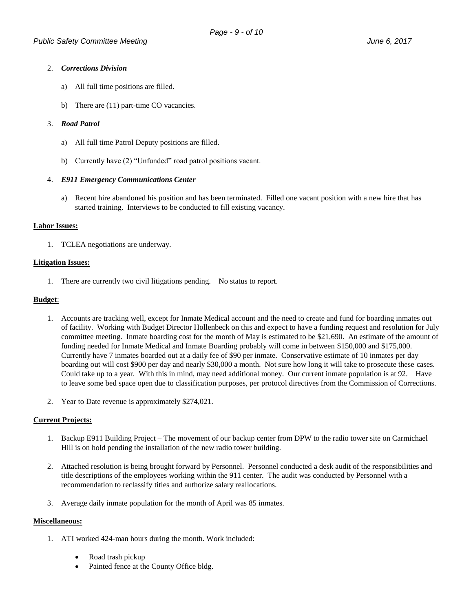### 2. *Corrections Division*

- a) All full time positions are filled.
- b) There are (11) part-time CO vacancies.

### 3. *Road Patrol*

- a) All full time Patrol Deputy positions are filled.
- b) Currently have (2) "Unfunded" road patrol positions vacant.

### 4. *E911 Emergency Communications Center*

a) Recent hire abandoned his position and has been terminated. Filled one vacant position with a new hire that has started training. Interviews to be conducted to fill existing vacancy.

### **Labor Issues:**

1. TCLEA negotiations are underway.

### **Litigation Issues:**

1. There are currently two civil litigations pending. No status to report.

### **Budget**:

- 1. Accounts are tracking well, except for Inmate Medical account and the need to create and fund for boarding inmates out of facility. Working with Budget Director Hollenbeck on this and expect to have a funding request and resolution for July committee meeting. Inmate boarding cost for the month of May is estimated to be \$21,690. An estimate of the amount of funding needed for Inmate Medical and Inmate Boarding probably will come in between \$150,000 and \$175,000. Currently have 7 inmates boarded out at a daily fee of \$90 per inmate. Conservative estimate of 10 inmates per day boarding out will cost \$900 per day and nearly \$30,000 a month. Not sure how long it will take to prosecute these cases. Could take up to a year. With this in mind, may need additional money. Our current inmate population is at 92. Have to leave some bed space open due to classification purposes, per protocol directives from the Commission of Corrections.
- 2. Year to Date revenue is approximately \$274,021.

#### **Current Projects:**

- 1. Backup E911 Building Project The movement of our backup center from DPW to the radio tower site on Carmichael Hill is on hold pending the installation of the new radio tower building.
- 2. Attached resolution is being brought forward by Personnel. Personnel conducted a desk audit of the responsibilities and title descriptions of the employees working within the 911 center. The audit was conducted by Personnel with a recommendation to reclassify titles and authorize salary reallocations.
- 3. Average daily inmate population for the month of April was 85 inmates.

#### **Miscellaneous:**

- 1. ATI worked 424-man hours during the month. Work included:
	- Road trash pickup
	- Painted fence at the County Office bldg.